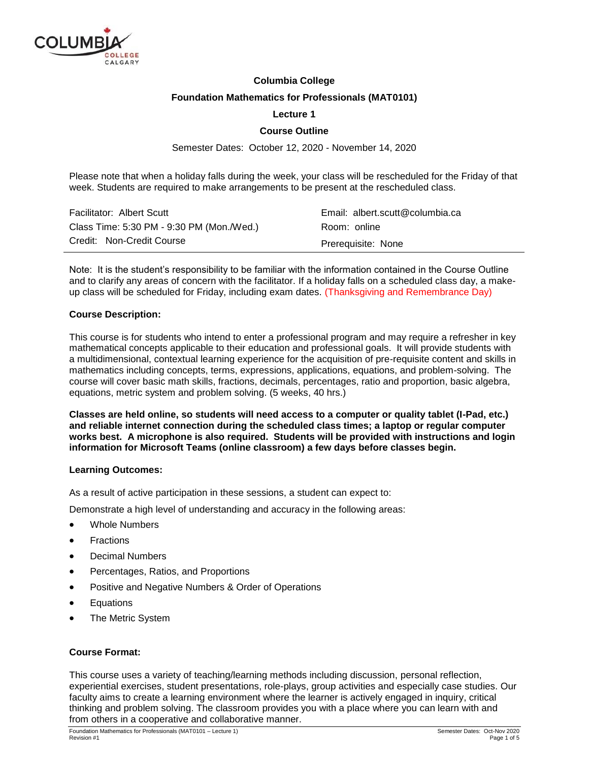

# **Columbia College**

## **Foundation Mathematics for Professionals (MAT0101)**

## **Lecture 1**

## **Course Outline**

Semester Dates: October 12, 2020 - November 14, 2020

Please note that when a holiday falls during the week, your class will be rescheduled for the Friday of that week. Students are required to make arrangements to be present at the rescheduled class.

| Facilitator: Albert Scutt                 | Email: albert.scutt@columbia.ca |
|-------------------------------------------|---------------------------------|
| Class Time: 5:30 PM - 9:30 PM (Mon./Wed.) | Room: online                    |
| Credit: Non-Credit Course                 | Prerequisite: None              |

Note: It is the student's responsibility to be familiar with the information contained in the Course Outline and to clarify any areas of concern with the facilitator. If a holiday falls on a scheduled class day, a makeup class will be scheduled for Friday, including exam dates. (Thanksgiving and Remembrance Day)

#### **Course Description:**

This course is for students who intend to enter a professional program and may require a refresher in key mathematical concepts applicable to their education and professional goals. It will provide students with a multidimensional, contextual learning experience for the acquisition of pre-requisite content and skills in mathematics including concepts, terms, expressions, applications, equations, and problem-solving. The course will cover basic math skills, fractions, decimals, percentages, ratio and proportion, basic algebra, equations, metric system and problem solving. (5 weeks, 40 hrs.)

**Classes are held online, so students will need access to a computer or quality tablet (I-Pad, etc.) and reliable internet connection during the scheduled class times; a laptop or regular computer works best. A microphone is also required. Students will be provided with instructions and login information for Microsoft Teams (online classroom) a few days before classes begin.**

#### **Learning Outcomes:**

As a result of active participation in these sessions, a student can expect to:

Demonstrate a high level of understanding and accuracy in the following areas:

- Whole Numbers
- Fractions
- Decimal Numbers
- Percentages, Ratios, and Proportions
- Positive and Negative Numbers & Order of Operations
- Equations
- The Metric System

#### **Course Format:**

This course uses a variety of teaching/learning methods including discussion, personal reflection, experiential exercises, student presentations, role-plays, group activities and especially case studies. Our faculty aims to create a learning environment where the learner is actively engaged in inquiry, critical thinking and problem solving. The classroom provides you with a place where you can learn with and from others in a cooperative and collaborative manner.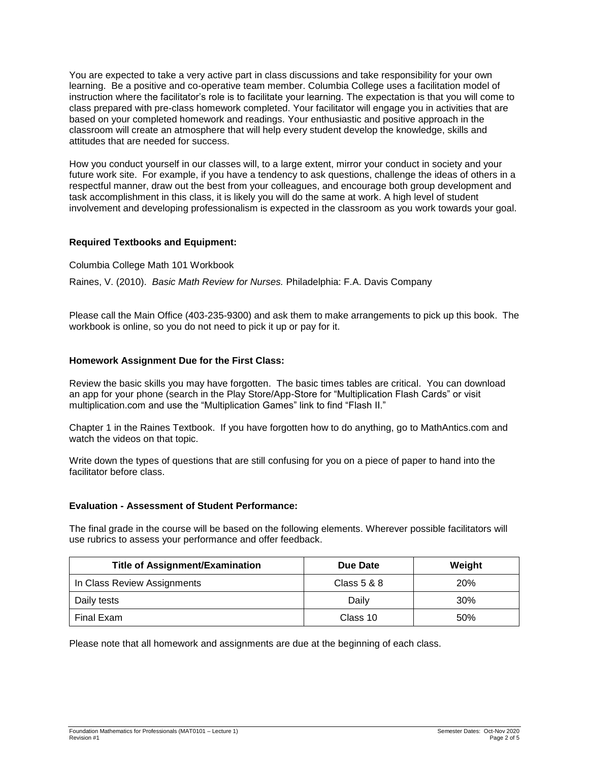You are expected to take a very active part in class discussions and take responsibility for your own learning. Be a positive and co-operative team member. Columbia College uses a facilitation model of instruction where the facilitator's role is to facilitate your learning. The expectation is that you will come to class prepared with pre-class homework completed. Your facilitator will engage you in activities that are based on your completed homework and readings. Your enthusiastic and positive approach in the classroom will create an atmosphere that will help every student develop the knowledge, skills and attitudes that are needed for success.

How you conduct yourself in our classes will, to a large extent, mirror your conduct in society and your future work site. For example, if you have a tendency to ask questions, challenge the ideas of others in a respectful manner, draw out the best from your colleagues, and encourage both group development and task accomplishment in this class, it is likely you will do the same at work. A high level of student involvement and developing professionalism is expected in the classroom as you work towards your goal.

## **Required Textbooks and Equipment:**

Columbia College Math 101 Workbook

Raines, V. (2010). *Basic Math Review for Nurses.* Philadelphia: F.A. Davis Company

Please call the Main Office (403-235-9300) and ask them to make arrangements to pick up this book. The workbook is online, so you do not need to pick it up or pay for it.

## **Homework Assignment Due for the First Class:**

Review the basic skills you may have forgotten. The basic times tables are critical. You can download an app for your phone (search in the Play Store/App-Store for "Multiplication Flash Cards" or visit multiplication.com and use the "Multiplication Games" link to find "Flash II."

Chapter 1 in the Raines Textbook. If you have forgotten how to do anything, go to MathAntics.com and watch the videos on that topic.

Write down the types of questions that are still confusing for you on a piece of paper to hand into the facilitator before class.

#### **Evaluation - Assessment of Student Performance:**

The final grade in the course will be based on the following elements. Wherever possible facilitators will use rubrics to assess your performance and offer feedback.

| <b>Title of Assignment/Examination</b> | Due Date    | Weight     |
|----------------------------------------|-------------|------------|
| In Class Review Assignments            | Class 5 & 8 | <b>20%</b> |
| Daily tests                            | Daily       | 30%        |
| Final Exam                             | Class 10    | 50%        |

Please note that all homework and assignments are due at the beginning of each class.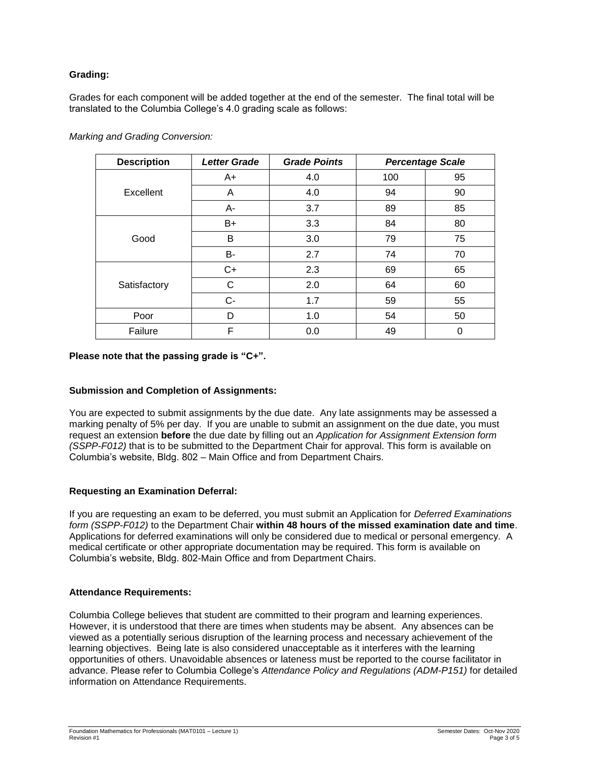## **Grading:**

Grades for each component will be added together at the end of the semester. The final total will be translated to the Columbia College's 4.0 grading scale as follows:

| <b>Description</b> | <b>Letter Grade</b> | <b>Grade Points</b> |     | <b>Percentage Scale</b> |
|--------------------|---------------------|---------------------|-----|-------------------------|
| Excellent          | A+                  | 4.0                 | 100 | 95                      |
|                    | A                   | 4.0                 | 94  | 90                      |
|                    | A-                  | 3.7                 | 89  | 85                      |
| Good               | B+                  | 3.3                 | 84  | 80                      |
|                    | B                   | 3.0                 | 79  | 75                      |
|                    | B-                  | 2.7                 | 74  | 70                      |
| Satisfactory       | $C+$                | 2.3                 | 69  | 65                      |
|                    | $\mathsf{C}$        | 2.0                 | 64  | 60                      |
|                    | $C-$                | 1.7                 | 59  | 55                      |
| Poor               | D                   | 1.0                 | 54  | 50                      |
| Failure            | F                   | 0.0                 | 49  | 0                       |

*Marking and Grading Conversion:*

#### **Please note that the passing grade is "C+".**

## **Submission and Completion of Assignments:**

You are expected to submit assignments by the due date. Any late assignments may be assessed a marking penalty of 5% per day. If you are unable to submit an assignment on the due date, you must request an extension **before** the due date by filling out an *Application for Assignment Extension form (SSPP-F012)* that is to be submitted to the Department Chair for approval. This form is available on Columbia's website, Bldg. 802 – Main Office and from Department Chairs.

## **Requesting an Examination Deferral:**

If you are requesting an exam to be deferred, you must submit an Application for *Deferred Examinations form (SSPP-F012)* to the Department Chair **within 48 hours of the missed examination date and time**. Applications for deferred examinations will only be considered due to medical or personal emergency. A medical certificate or other appropriate documentation may be required. This form is available on Columbia's website, Bldg. 802-Main Office and from Department Chairs.

## **Attendance Requirements:**

Columbia College believes that student are committed to their program and learning experiences. However, it is understood that there are times when students may be absent. Any absences can be viewed as a potentially serious disruption of the learning process and necessary achievement of the learning objectives. Being late is also considered unacceptable as it interferes with the learning opportunities of others. Unavoidable absences or lateness must be reported to the course facilitator in advance. Please refer to Columbia College's *Attendance Policy and Regulations (ADM-P151)* for detailed information on Attendance Requirements.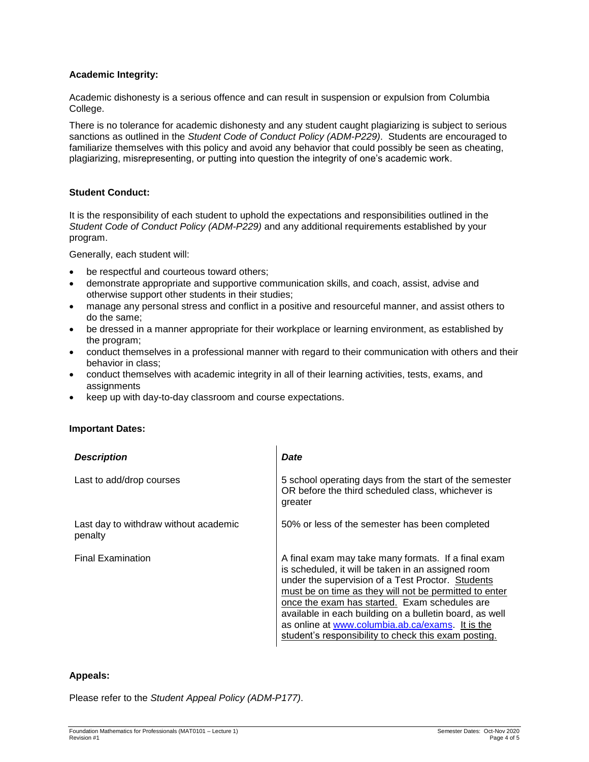## **Academic Integrity:**

Academic dishonesty is a serious offence and can result in suspension or expulsion from Columbia College.

There is no tolerance for academic dishonesty and any student caught plagiarizing is subject to serious sanctions as outlined in the *Student Code of Conduct Policy (ADM-P229)*. Students are encouraged to familiarize themselves with this policy and avoid any behavior that could possibly be seen as cheating, plagiarizing, misrepresenting, or putting into question the integrity of one's academic work.

## **Student Conduct:**

It is the responsibility of each student to uphold the expectations and responsibilities outlined in the *Student Code of Conduct Policy (ADM-P229)* and any additional requirements established by your program.

Generally, each student will:

- be respectful and courteous toward others;
- demonstrate appropriate and supportive communication skills, and coach, assist, advise and otherwise support other students in their studies;
- manage any personal stress and conflict in a positive and resourceful manner, and assist others to do the same;
- be dressed in a manner appropriate for their workplace or learning environment, as established by the program;
- conduct themselves in a professional manner with regard to their communication with others and their behavior in class;
- conduct themselves with academic integrity in all of their learning activities, tests, exams, and assignments
- keep up with day-to-day classroom and course expectations.

#### **Important Dates:**

| <b>Description</b>                               | Date                                                                                                                                                                                                                                                                                                                                                                                                                                             |
|--------------------------------------------------|--------------------------------------------------------------------------------------------------------------------------------------------------------------------------------------------------------------------------------------------------------------------------------------------------------------------------------------------------------------------------------------------------------------------------------------------------|
| Last to add/drop courses                         | 5 school operating days from the start of the semester<br>OR before the third scheduled class, whichever is<br>greater                                                                                                                                                                                                                                                                                                                           |
| Last day to withdraw without academic<br>penalty | 50% or less of the semester has been completed                                                                                                                                                                                                                                                                                                                                                                                                   |
| <b>Final Examination</b>                         | A final exam may take many formats. If a final exam<br>is scheduled, it will be taken in an assigned room<br>under the supervision of a Test Proctor. Students<br>must be on time as they will not be permitted to enter<br>once the exam has started. Exam schedules are<br>available in each building on a bulletin board, as well<br>as online at www.columbia.ab.ca/exams. It is the<br>student's responsibility to check this exam posting. |

#### **Appeals:**

Please refer to the *Student Appeal Policy (ADM-P177)*.